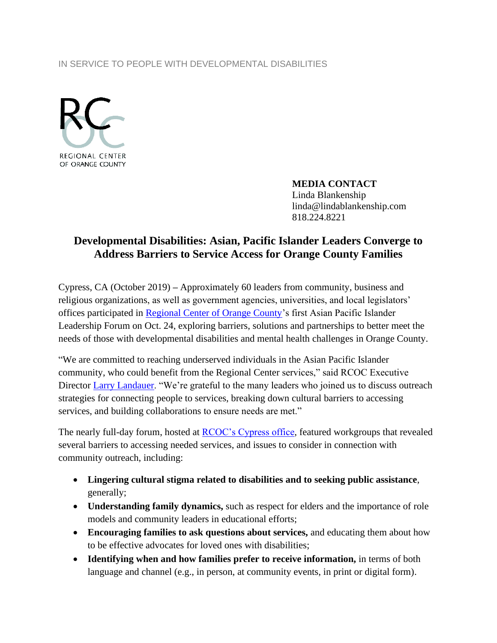## IN SERVICE TO PEOPLE WITH DEVELOPMENTAL DISABILITIES



**MEDIA CONTACT** Linda Blankenship linda@lindablankenship.com 818.224.8221

## **Developmental Disabilities: Asian, Pacific Islander Leaders Converge to Address Barriers to Service Access for Orange County Families**

Cypress, CA (October 2019) **–** Approximately 60 leaders from community, business and religious organizations, as well as government agencies, universities, and local legislators' offices participated in [Regional Center of Orange County'](http://www.rcocdd.com/)s first Asian Pacific Islander Leadership Forum on Oct. 24, exploring barriers, solutions and partnerships to better meet the needs of those with developmental disabilities and mental health challenges in Orange County.

"We are committed to reaching underserved individuals in the Asian Pacific Islander community, who could benefit from the Regional Center services," said RCOC Executive Director [Larry Landauer.](https://www.linkedin.com/in/larry-landauer-092a9537) "We're grateful to the many leaders who joined us to discuss outreach strategies for connecting people to services, breaking down cultural barriers to accessing services, and building collaborations to ensure needs are met."

The nearly full-day forum, hosted at [RCOC's Cypress office,](https://www.google.com/maps/place/10803+Hope+St,+Cypress,+CA+90630/@33.804751,-118.024647,16z/data=!4m5!3m4!1s0x80dd2ece0da5ca49:0x6e3f42fca34a2e3c!8m2!3d33.804751!4d-118.0246469?hl=en-US) featured workgroups that revealed several barriers to accessing needed services, and issues to consider in connection with community outreach, including:

- **Lingering cultural stigma related to disabilities and to seeking public assistance**, generally;
- **Understanding family dynamics,** such as respect for elders and the importance of role models and community leaders in educational efforts;
- **Encouraging families to ask questions about services,** and educating them about how to be effective advocates for loved ones with disabilities;
- **Identifying when and how families prefer to receive information,** in terms of both language and channel (e.g., in person, at community events, in print or digital form).